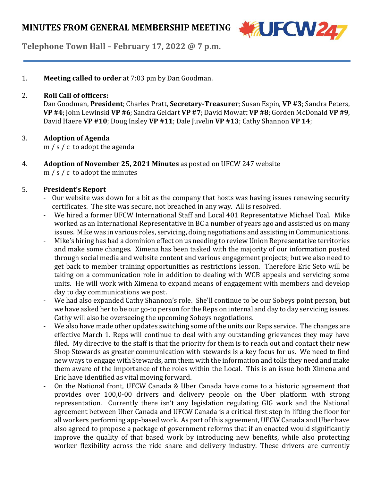

**Telephone Town Hall – February 17, 2022 @ 7 p.m.**

1. **Meeting called to order** at 7:03 pm by Dan Goodman.

#### 2. **Roll Call of officers:**

Dan Goodman, **President**; Charles Pratt, **Secretary-Treasurer**; Susan Espin, **VP #3**; Sandra Peters, **VP #4**; John Lewinski **VP #6**;Sandra Geldart **VP #7**; David Mowatt **VP #8**; Gorden McDonald **VP #9**, David Haere **VP #10**; Doug Insley **VP #11**; Dale Juvelin **VP #13**; Cathy Shannon **VP 14**;

## 3. **Adoption of Agenda**

m / s / c to adopt the agenda

4. **Adoption of November 25, 2021 Minutes** as posted on UFCW 247 website m / s / c to adopt the minutes

## 5. **President's Report**

- Our website was down for a bit as the company that hosts was having issues renewing security certificates. The site was secure, not breached in any way. All is resolved.
- We hired a former UFCW International Staff and Local 401 Representative Michael Toal. Mike worked as an International Representative in BC a number of years ago and assisted us on many issues. Mike was in various roles, servicing, doing negotiations and assisting in Communications.
- Mike's hiring has had a dominion effect on us needing to review Union Representative territories and make some changes. Ximena has been tasked with the majority of our information posted through social media and website content and various engagement projects; but we also need to get back to member training opportunities as restrictions lesson. Therefore Eric Seto will be taking on a communication role in addition to dealing with WCB appeals and servicing some units. He will work with Ximena to expand means of engagement with members and develop day to day communications we post.
- We had also expanded Cathy Shannon's role. She'll continue to be our Sobeys point person, but we have asked her to be our go-to person for the Reps on internal and day to day servicing issues. Cathy will also be overseeing the upcoming Sobeys negotiations.
- We also have made other updates switching some of the units our Reps service. The changes are effective March 1. Reps will continue to deal with any outstanding grievances they may have filed. My directive to the staff is that the priority for them is to reach out and contact their new Shop Stewards as greater communication with stewards is a key focus for us. We need to find new ways to engage with Stewards, arm them with the information and tolls they need and make them aware of the importance of the roles within the Local. This is an issue both Ximena and Eric have identified as vital moving forward.
- On the National front, UFCW Canada & Uber Canada have come to a historic agreement that provides over 100,0-00 drivers and delivery people on the Uber platform with strong representation. Currently there isn't any legislation regulating GIG work and the National agreement between Uber Canada and UFCW Canada is a critical first step in lifting the floor for all workers performing app-based work. As part ofthis agreement, UFCW Canada and Uber have also agreed to propose a package of government reforms that if an enacted would significantly improve the quality of that based work by introducing new benefits, while also protecting worker flexibility across the ride share and delivery industry. These drivers are currently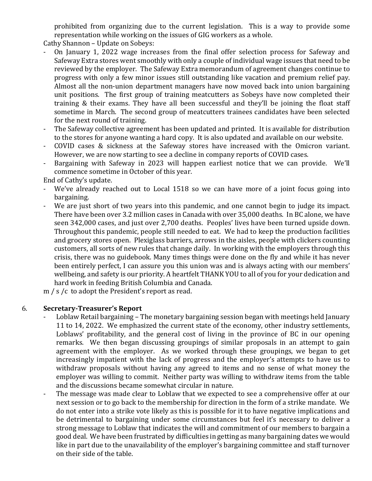prohibited from organizing due to the current legislation. This is a way to provide some representation while working on the issues of GIG workers as a whole.

Cathy Shannon – Update on Sobeys:

- On January 1, 2022 wage increases from the final offer selection process for Safeway and Safeway Extra stores went smoothly with only a couple of individual wage issues that need to be reviewed by the employer. The Safeway Extra memorandum of agreement changes continue to progress with only a few minor issues still outstanding like vacation and premium relief pay. Almost all the non-union department managers have now moved back into union bargaining unit positions. The first group of training meatcutters as Sobeys have now completed their training & their exams. They have all been successful and they'll be joining the float staff sometime in March. The second group of meatcutters trainees candidates have been selected for the next round of training.
- The Safeway collective agreement has been updated and printed. It is available for distribution to the stores for anyone wanting a hard copy. It is also updated and available on our website.
- COVID cases & sickness at the Safeway stores have increased with the Omicron variant. However, we are now starting to see a decline in company reports of COVID cases.
- Bargaining with Safeway in 2023 will happen earliest notice that we can provide. We'll commence sometime in October of this year.

End of Cathy's update.

- We've already reached out to Local 1518 so we can have more of a joint focus going into bargaining.
- We are just short of two years into this pandemic, and one cannot begin to judge its impact. There have been over 3.2 million cases in Canada with over 35,000 deaths. In BC alone, we have seen 342,000 cases, and just over 2,700 deaths. Peoples' lives have been turned upside down. Throughout this pandemic, people still needed to eat. We had to keep the production facilities and grocery stores open. Plexiglass barriers, arrows in the aisles, people with clickers counting customers, all sorts of new rules that change daily. In working with the employers through this crisis, there was no guidebook. Many times things were done on the fly and while it has never been entirely perfect, I can assure you this union was and is always acting with our members' wellbeing, and safety is our priority. A heartfelt THANK YOU to all of you for your dedication and hard work in feeding British Columbia and Canada.

m / s /c to adopt the President's report as read.

# 6. **Secretary-Treasurer's Report**

- Loblaw Retail bargaining The monetary bargaining session began with meetings held January 11 to 14, 2022. We emphasized the current state of the economy, other industry settlements, Loblaws' profitability, and the general cost of living in the province of BC in our opening remarks. We then began discussing groupings of similar proposals in an attempt to gain agreement with the employer. As we worked through these groupings, we began to get increasingly impatient with the lack of progress and the employer's attempts to have us to withdraw proposals without having any agreed to items and no sense of what money the employer was willing to commit. Neither party was willing to withdraw items from the table and the discussions became somewhat circular in nature.
- The message was made clear to Loblaw that we expected to see a comprehensive offer at our next session or to go back to the membership for direction in the form of a strike mandate. We do not enter into a strike vote likely as this is possible for it to have negative implications and be detrimental to bargaining under some circumstances but feel it's necessary to deliver a strong message to Loblaw that indicates the will and commitment of our members to bargain a good deal. We have been frustrated by difficulties in getting as many bargaining dates we would like in part due to the unavailability of the employer's bargaining committee and staff turnover on their side of the table.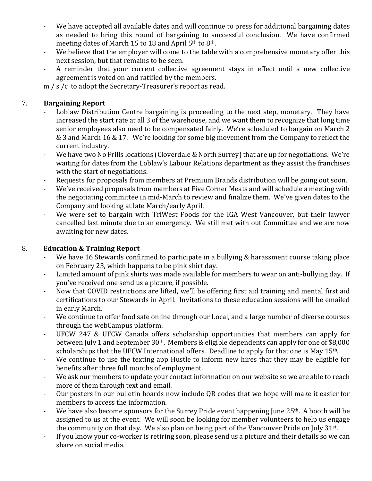- We have accepted all available dates and will continue to press for additional bargaining dates as needed to bring this round of bargaining to successful conclusion. We have confirmed meeting dates of March 15 to 18 and April 5th to 8th.
- We believe that the employer will come to the table with a comprehensive monetary offer this next session, but that remains to be seen.
- A reminder that your current collective agreement stays in effect until a new collective agreement is voted on and ratified by the members.

m / s /c to adopt the Secretary-Treasurer's report as read.

# 7. **Bargaining Report**

- Loblaw Distribution Centre bargaining is proceeding to the next step, monetary. They have increased the start rate at all 3 of the warehouse, and we want them to recognize that long time senior employees also need to be compensated fairly. We're scheduled to bargain on March 2 & 3 and March 16 & 17. We're looking for some big movement from the Company to reflect the current industry.
- We have two No Frills locations (Cloverdale & North Surrey) that are up for negotiations. We're waiting for dates from the Loblaw's Labour Relations department as they assist the franchises with the start of negotiations.
- Requests for proposals from members at Premium Brands distribution will be going out soon.
- We've received proposals from members at Five Corner Meats and will schedule a meeting with the negotiating committee in mid-March to review and finalize them. We've given dates to the Company and looking at late March/early April.
- We were set to bargain with TriWest Foods for the IGA West Vancouver, but their lawyer cancelled last minute due to an emergency. We still met with out Committee and we are now awaiting for new dates.

# 8. **Education & Training Report**

- We have 16 Stewards confirmed to participate in a bullying & harassment course taking place on February 23, which happens to be pink shirt day.
- Limited amount of pink shirts was made available for members to wear on anti-bullying day. If you've received one send us a picture, if possible.
- Now that COVID restrictions are lifted, we'll be offering first aid training and mental first aid certifications to our Stewards in April. Invitations to these education sessions will be emailed in early March.
- We continue to offer food safe online through our Local, and a large number of diverse courses through the webCampus platform.
- UFCW 247 & UFCW Canada offers scholarship opportunities that members can apply for between July 1 and September 30th. Members & eligible dependents can apply for one of \$8,000 scholarships that the UFCW International offers. Deadline to apply for that one is May 15<sup>th</sup>.
- We continue to use the texting app Hustle to inform new hires that they may be eligible for benefits after three full months of employment.
- We ask our members to update your contact information on our website so we are able to reach more of them through text and email.
- Our posters in our bulletin boards now include QR codes that we hope will make it easier for members to access the information.
- We have also become sponsors for the Surrey Pride event happening June 25<sup>th</sup>. A booth will be assigned to us at the event. We will soon be looking for member volunteers to help us engage the community on that day. We also plan on being part of the Vancouver Pride on July 31<sup>st</sup>.
- If you know your co-worker is retiring soon, please send us a picture and their details so we can share on social media.